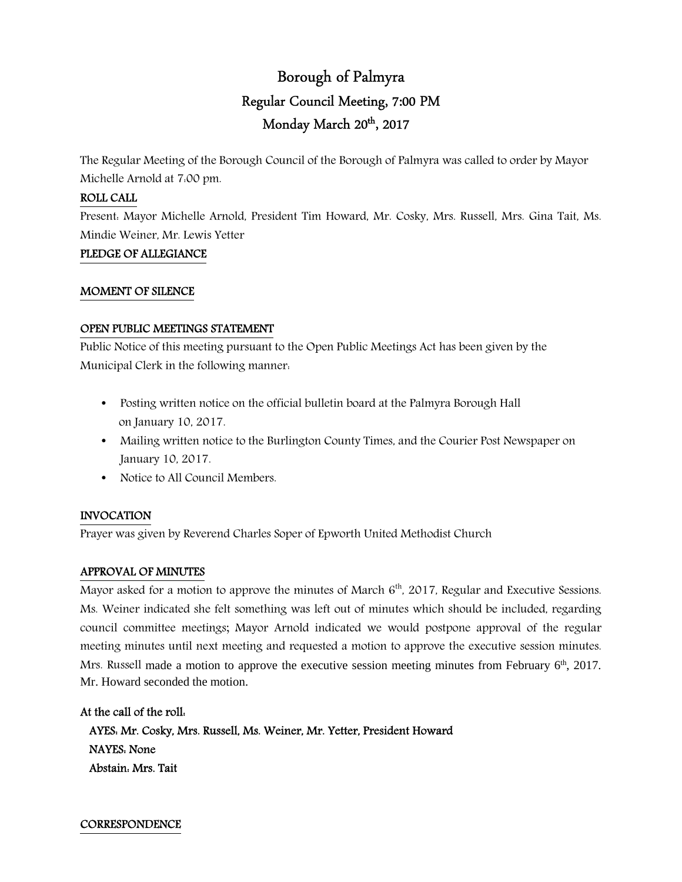# Borough of Palmyra Regular Council Meeting, 7:00 PM Monday March 20<sup>th</sup>, 2017

The Regular Meeting of the Borough Council of the Borough of Palmyra was called to order by Mayor Michelle Arnold at 7:00 pm.

# ROLL CALL

Present: Mayor Michelle Arnold, President Tim Howard, Mr. Cosky, Mrs. Russell, Mrs. Gina Tait, Ms. Mindie Weiner, Mr. Lewis Yetter

#### PLEDGE OF ALLEGIANCE

#### MOMENT OF SILENCE

#### OPEN PUBLIC MEETINGS STATEMENT

Public Notice of this meeting pursuant to the Open Public Meetings Act has been given by the Municipal Clerk in the following manner:

- Posting written notice on the official bulletin board at the Palmyra Borough Hall on January 10, 2017.
- Mailing written notice to the Burlington County Times, and the Courier Post Newspaper on January 10, 2017.
- Notice to All Council Members.

# INVOCATION

Prayer was given by Reverend Charles Soper of Epworth United Methodist Church

# APPROVAL OF MINUTES

Mayor asked for a motion to approve the minutes of March  $6<sup>th</sup>$ , 2017, Regular and Executive Sessions. Ms. Weiner indicated she felt something was left out of minutes which should be included, regarding council committee meetings; Mayor Arnold indicated we would postpone approval of the regular meeting minutes until next meeting and requested a motion to approve the executive session minutes. Mrs. Russell made a motion to approve the executive session meeting minutes from February 6<sup>th</sup>, 2017. Mr. Howard seconded the motion.

At the call of the roll:

AYES: Mr. Cosky, Mrs. Russell, Ms. Weiner, Mr. Yetter, President Howard

 NAYES: None Abstain: Mrs. Tait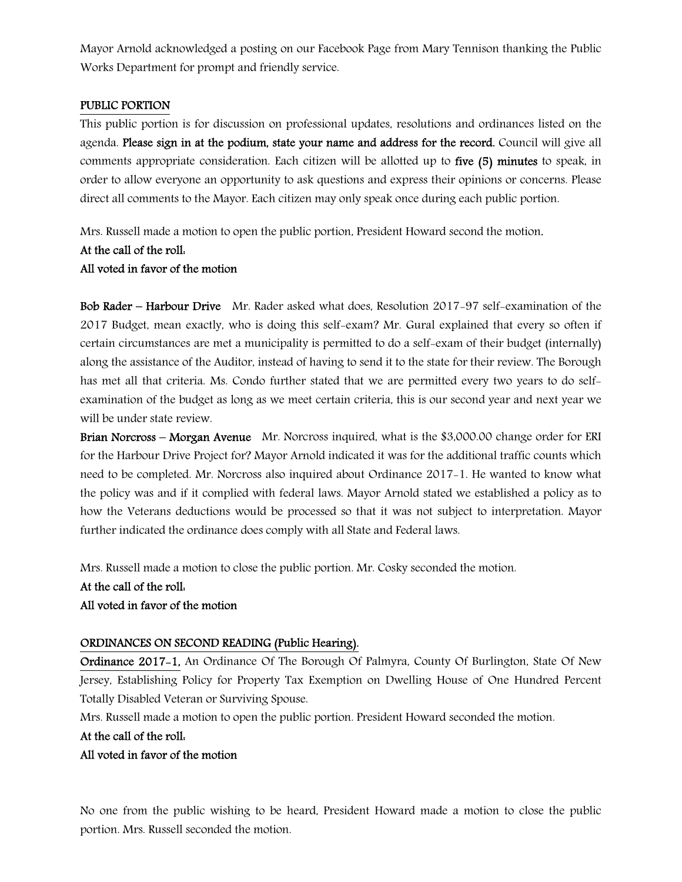Mayor Arnold acknowledged a posting on our Facebook Page from Mary Tennison thanking the Public Works Department for prompt and friendly service.

#### PUBLIC PORTION

This public portion is for discussion on professional updates, resolutions and ordinances listed on the agenda. Please sign in at the podium, state your name and address for the record. Council will give all comments appropriate consideration. Each citizen will be allotted up to five (5) minutes to speak, in order to allow everyone an opportunity to ask questions and express their opinions or concerns. Please direct all comments to the Mayor. Each citizen may only speak once during each public portion.

Mrs. Russell made a motion to open the public portion, President Howard second the motion.

#### At the call of the roll: All voted in favor of the motion

Bob Rader – Harbour Drive Mr. Rader asked what does, Resolution 2017-97 self-examination of the 2017 Budget, mean exactly, who is doing this self-exam? Mr. Gural explained that every so often if certain circumstances are met a municipality is permitted to do a self-exam of their budget (internally) along the assistance of the Auditor, instead of having to send it to the state for their review. The Borough has met all that criteria. Ms. Condo further stated that we are permitted every two years to do selfexamination of the budget as long as we meet certain criteria, this is our second year and next year we will be under state review.

Brian Norcross – Morgan Avenue Mr. Norcross inquired, what is the \$3,000.00 change order for ERI for the Harbour Drive Project for? Mayor Arnold indicated it was for the additional traffic counts which need to be completed. Mr. Norcross also inquired about Ordinance 2017-1. He wanted to know what the policy was and if it complied with federal laws. Mayor Arnold stated we established a policy as to how the Veterans deductions would be processed so that it was not subject to interpretation. Mayor further indicated the ordinance does comply with all State and Federal laws.

Mrs. Russell made a motion to close the public portion. Mr. Cosky seconded the motion.

# At the call of the roll: All voted in favor of the motion

# ORDINANCES ON SECOND READING (Public Hearing).

Ordinance 2017-1, An Ordinance Of The Borough Of Palmyra, County Of Burlington, State Of New Jersey, Establishing Policy for Property Tax Exemption on Dwelling House of One Hundred Percent Totally Disabled Veteran or Surviving Spouse.

Mrs. Russell made a motion to open the public portion. President Howard seconded the motion.

#### At the call of the roll:

# All voted in favor of the motion

No one from the public wishing to be heard, President Howard made a motion to close the public portion. Mrs. Russell seconded the motion.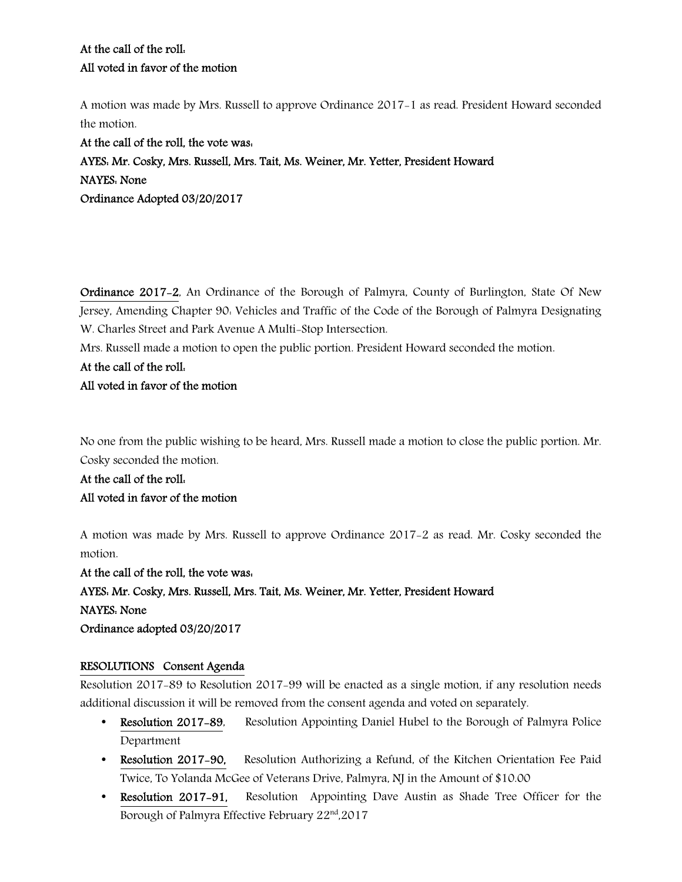A motion was made by Mrs. Russell to approve Ordinance 2017-1 as read. President Howard seconded the motion.

At the call of the roll, the vote was: AYES: Mr. Cosky, Mrs. Russell, Mrs. Tait, Ms. Weiner, Mr. Yetter, President Howard NAYES: None Ordinance Adopted 03/20/2017

Ordinance 2017-2, An Ordinance of the Borough of Palmyra, County of Burlington, State Of New Jersey, Amending Chapter 90: Vehicles and Traffic of the Code of the Borough of Palmyra Designating W. Charles Street and Park Avenue A Multi-Stop Intersection.

Mrs. Russell made a motion to open the public portion. President Howard seconded the motion.

At the call of the roll:

# All voted in favor of the motion

No one from the public wishing to be heard, Mrs. Russell made a motion to close the public portion. Mr. Cosky seconded the motion.

At the call of the roll: All voted in favor of the motion

A motion was made by Mrs. Russell to approve Ordinance 2017-2 as read. Mr. Cosky seconded the motion.

At the call of the roll, the vote was: AYES: Mr. Cosky, Mrs. Russell, Mrs. Tait, Ms. Weiner, Mr. Yetter, President Howard NAYES: None Ordinance adopted 03/20/2017

# RESOLUTIONS Consent Agenda

Resolution 2017-89 to Resolution 2017-99 will be enacted as a single motion, if any resolution needs additional discussion it will be removed from the consent agenda and voted on separately.

- Resolution 2017-89, Resolution Appointing Daniel Hubel to the Borough of Palmyra Police Department
- Resolution 2017-90, Resolution Authorizing a Refund, of the Kitchen Orientation Fee Paid Twice, To Yolanda McGee of Veterans Drive, Palmyra, NJ in the Amount of \$10.00
- Resolution 2017–91, Resolution Appointing Dave Austin as Shade Tree Officer for the Borough of Palmyra Effective February 22<sup>nd</sup>,2017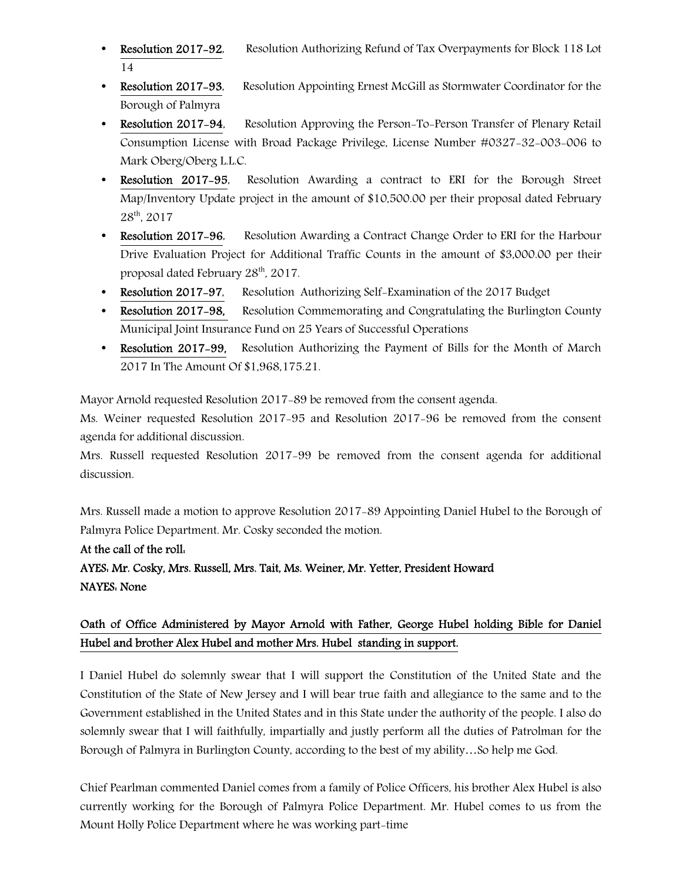- **Resolution 2017-92.** Resolution Authorizing Refund of Tax Overpayments for Block 118 Lot 14
- Resolution 2017-93, Resolution Appointing Ernest McGill as Stormwater Coordinator for the Borough of Palmyra
- Resolution 2017-94, Resolution Approving the Person-To-Person Transfer of Plenary Retail Consumption License with Broad Package Privilege, License Number #0327-32-003-006 to Mark Oberg/Oberg L.L.C.
- Resolution 2017–95, Resolution Awarding a contract to ERI for the Borough Street Map/Inventory Update project in the amount of \$10,500.00 per their proposal dated February 28th, 2017
- Resolution 2017–96, Resolution Awarding a Contract Change Order to ERI for the Harbour Drive Evaluation Project for Additional Traffic Counts in the amount of \$3,000.00 per their proposal dated February 28<sup>th</sup>, 2017.
- Resolution 2017-97, Resolution Authorizing Self-Examination of the 2017 Budget
- Resolution 2017–98, Resolution Commemorating and Congratulating the Burlington County Municipal Joint Insurance Fund on 25 Years of Successful Operations
- Resolution 2017-99,Resolution Authorizing the Payment of Bills for the Month of March 2017 In The Amount Of \$1,968,175.21.

Mayor Arnold requested Resolution 2017-89 be removed from the consent agenda.

Ms. Weiner requested Resolution 2017-95 and Resolution 2017-96 be removed from the consent agenda for additional discussion.

Mrs. Russell requested Resolution 2017-99 be removed from the consent agenda for additional discussion.

Mrs. Russell made a motion to approve Resolution 2017-89 Appointing Daniel Hubel to the Borough of Palmyra Police Department. Mr. Cosky seconded the motion.

# At the call of the roll:

AYES: Mr. Cosky, Mrs. Russell, Mrs. Tait, Ms. Weiner, Mr. Yetter, President Howard NAYES: None

# Oath of Office Administered by Mayor Arnold with Father, George Hubel holding Bible for Daniel Hubel and brother Alex Hubel and mother Mrs. Hubel standing in support.

I Daniel Hubel do solemnly swear that I will support the Constitution of the United State and the Constitution of the State of New Jersey and I will bear true faith and allegiance to the same and to the Government established in the United States and in this State under the authority of the people. I also do solemnly swear that I will faithfully, impartially and justly perform all the duties of Patrolman for the Borough of Palmyra in Burlington County, according to the best of my ability…So help me God.

Chief Pearlman commented Daniel comes from a family of Police Officers, his brother Alex Hubel is also currently working for the Borough of Palmyra Police Department. Mr. Hubel comes to us from the Mount Holly Police Department where he was working part-time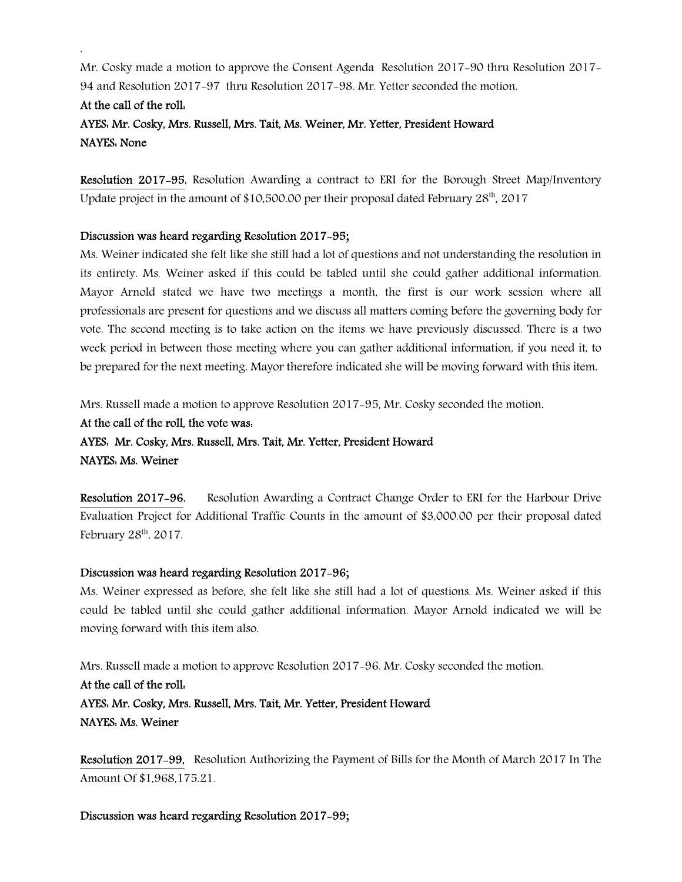Mr. Cosky made a motion to approve the Consent Agenda Resolution 2017-90 thru Resolution 2017- 94 and Resolution 2017-97 thru Resolution 2017-98. Mr. Yetter seconded the motion.

# At the call of the roll: AYES: Mr. Cosky, Mrs. Russell, Mrs. Tait, Ms. Weiner, Mr. Yetter, President Howard NAYES: None

Resolution 2017-95, Resolution Awarding a contract to ERI for the Borough Street Map/Inventory Update project in the amount of \$10,500.00 per their proposal dated February  $28<sup>th</sup>$ , 2017

# Discussion was heard regarding Resolution 2017-95;

.

Ms. Weiner indicated she felt like she still had a lot of questions and not understanding the resolution in its entirety. Ms. Weiner asked if this could be tabled until she could gather additional information. Mayor Arnold stated we have two meetings a month, the first is our work session where all professionals are present for questions and we discuss all matters coming before the governing body for vote. The second meeting is to take action on the items we have previously discussed. There is a two week period in between those meeting where you can gather additional information, if you need it, to be prepared for the next meeting. Mayor therefore indicated she will be moving forward with this item.

Mrs. Russell made a motion to approve Resolution 2017-95, Mr. Cosky seconded the motion.

At the call of the roll, the vote was: AYES: Mr. Cosky, Mrs. Russell, Mrs. Tait, Mr. Yetter, President Howard NAYES: Ms. Weiner

Resolution 2017-96, Resolution Awarding a Contract Change Order to ERI for the Harbour Drive Evaluation Project for Additional Traffic Counts in the amount of \$3,000.00 per their proposal dated February 28<sup>th</sup>, 2017.

# Discussion was heard regarding Resolution 2017-96;

Ms. Weiner expressed as before, she felt like she still had a lot of questions. Ms. Weiner asked if this could be tabled until she could gather additional information. Mayor Arnold indicated we will be moving forward with this item also.

Mrs. Russell made a motion to approve Resolution 2017-96. Mr. Cosky seconded the motion. At the call of the roll: AYES: Mr. Cosky, Mrs. Russell, Mrs. Tait, Mr. Yetter, President Howard NAYES: Ms. Weiner

Resolution 2017-99,Resolution Authorizing the Payment of Bills for the Month of March 2017 In The Amount Of \$1,968,175.21.

Discussion was heard regarding Resolution 2017-99;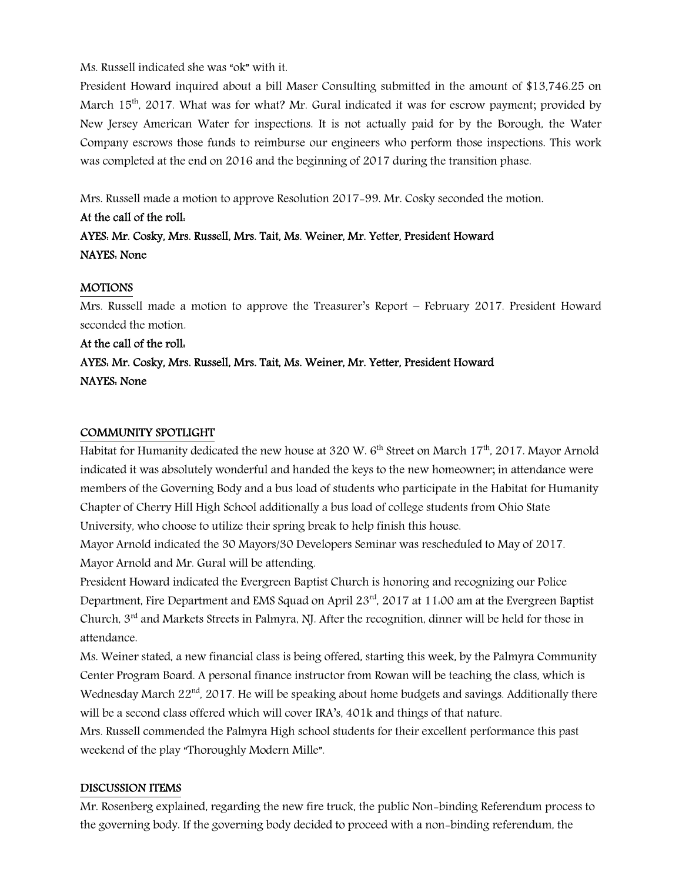# Ms. Russell indicated she was "ok" with it.

President Howard inquired about a bill Maser Consulting submitted in the amount of \$13,746.25 on March 15<sup>th</sup>, 2017. What was for what? Mr. Gural indicated it was for escrow payment; provided by New Jersey American Water for inspections. It is not actually paid for by the Borough, the Water Company escrows those funds to reimburse our engineers who perform those inspections. This work was completed at the end on 2016 and the beginning of 2017 during the transition phase.

Mrs. Russell made a motion to approve Resolution 2017-99. Mr. Cosky seconded the motion.

# At the call of the roll: AYES: Mr. Cosky, Mrs. Russell, Mrs. Tait, Ms. Weiner, Mr. Yetter, President Howard NAYES: None

# MOTIONS

Mrs. Russell made a motion to approve the Treasurer's Report – February 2017. President Howard seconded the motion.

# At the call of the roll: AYES: Mr. Cosky, Mrs. Russell, Mrs. Tait, Ms. Weiner, Mr. Yetter, President Howard NAYES: None

#### COMMUNITY SPOTLIGHT

Habitat for Humanity dedicated the new house at 320 W.  $6<sup>th</sup>$  Street on March 17<sup>th</sup>, 2017. Mayor Arnold indicated it was absolutely wonderful and handed the keys to the new homeowner; in attendance were members of the Governing Body and a bus load of students who participate in the Habitat for Humanity Chapter of Cherry Hill High School additionally a bus load of college students from Ohio State University, who choose to utilize their spring break to help finish this house.

Mayor Arnold indicated the 30 Mayors/30 Developers Seminar was rescheduled to May of 2017. Mayor Arnold and Mr. Gural will be attending.

President Howard indicated the Evergreen Baptist Church is honoring and recognizing our Police Department, Fire Department and EMS Squad on April 23<sup>rd</sup>, 2017 at 11:00 am at the Evergreen Baptist Church, 3<sup>rd</sup> and Markets Streets in Palmyra, NJ. After the recognition, dinner will be held for those in attendance.

Ms. Weiner stated, a new financial class is being offered, starting this week, by the Palmyra Community Center Program Board. A personal finance instructor from Rowan will be teaching the class, which is Wednesday March  $22<sup>nd</sup>$ , 2017. He will be speaking about home budgets and savings. Additionally there will be a second class offered which will cover IRA's, 401k and things of that nature.

Mrs. Russell commended the Palmyra High school students for their excellent performance this past weekend of the play "Thoroughly Modern Mille".

# DISCUSSION ITEMS

Mr. Rosenberg explained, regarding the new fire truck, the public Non-binding Referendum process to the governing body. If the governing body decided to proceed with a non-binding referendum, the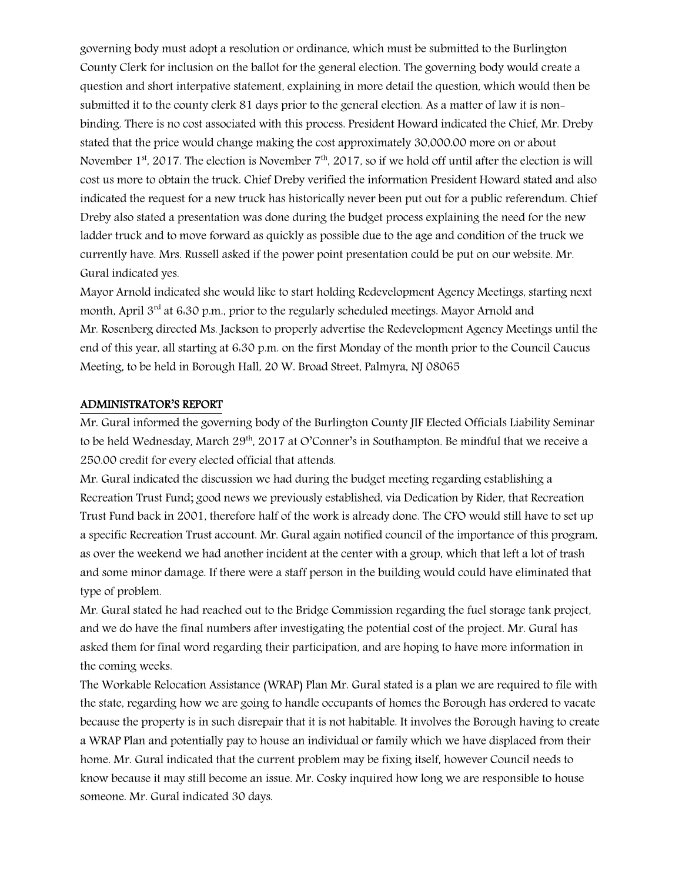governing body must adopt a resolution or ordinance, which must be submitted to the Burlington County Clerk for inclusion on the ballot for the general election. The governing body would create a question and short interpative statement, explaining in more detail the question, which would then be submitted it to the county clerk 81 days prior to the general election. As a matter of law it is nonbinding. There is no cost associated with this process. President Howard indicated the Chief, Mr. Dreby stated that the price would change making the cost approximately 30,000.00 more on or about November 1<sup>st</sup>, 2017. The election is November 7<sup>th</sup>, 2017, so if we hold off until after the election is will cost us more to obtain the truck. Chief Dreby verified the information President Howard stated and also indicated the request for a new truck has historically never been put out for a public referendum. Chief Dreby also stated a presentation was done during the budget process explaining the need for the new ladder truck and to move forward as quickly as possible due to the age and condition of the truck we currently have. Mrs. Russell asked if the power point presentation could be put on our website. Mr. Gural indicated yes.

Mayor Arnold indicated she would like to start holding Redevelopment Agency Meetings, starting next month, April 3<sup>rd</sup> at 6.30 p.m., prior to the regularly scheduled meetings. Mayor Arnold and Mr. Rosenberg directed Ms. Jackson to properly advertise the Redevelopment Agency Meetings until the end of this year, all starting at 6:30 p.m. on the first Monday of the month prior to the Council Caucus Meeting, to be held in Borough Hall, 20 W. Broad Street, Palmyra, NJ 08065

# ADMINISTRATOR'S REPORT

Mr. Gural informed the governing body of the Burlington County JIF Elected Officials Liability Seminar to be held Wednesday, March 29<sup>th</sup>, 2017 at O'Conner's in Southampton. Be mindful that we receive a 250.00 credit for every elected official that attends.

Mr. Gural indicated the discussion we had during the budget meeting regarding establishing a Recreation Trust Fund; good news we previously established, via Dedication by Rider, that Recreation Trust Fund back in 2001, therefore half of the work is already done. The CFO would still have to set up a specific Recreation Trust account. Mr. Gural again notified council of the importance of this program, as over the weekend we had another incident at the center with a group, which that left a lot of trash and some minor damage. If there were a staff person in the building would could have eliminated that type of problem.

Mr. Gural stated he had reached out to the Bridge Commission regarding the fuel storage tank project, and we do have the final numbers after investigating the potential cost of the project. Mr. Gural has asked them for final word regarding their participation, and are hoping to have more information in the coming weeks.

The Workable Relocation Assistance (WRAP) Plan Mr. Gural stated is a plan we are required to file with the state, regarding how we are going to handle occupants of homes the Borough has ordered to vacate because the property is in such disrepair that it is not habitable. It involves the Borough having to create a WRAP Plan and potentially pay to house an individual or family which we have displaced from their home. Mr. Gural indicated that the current problem may be fixing itself, however Council needs to know because it may still become an issue. Mr. Cosky inquired how long we are responsible to house someone. Mr. Gural indicated 30 days.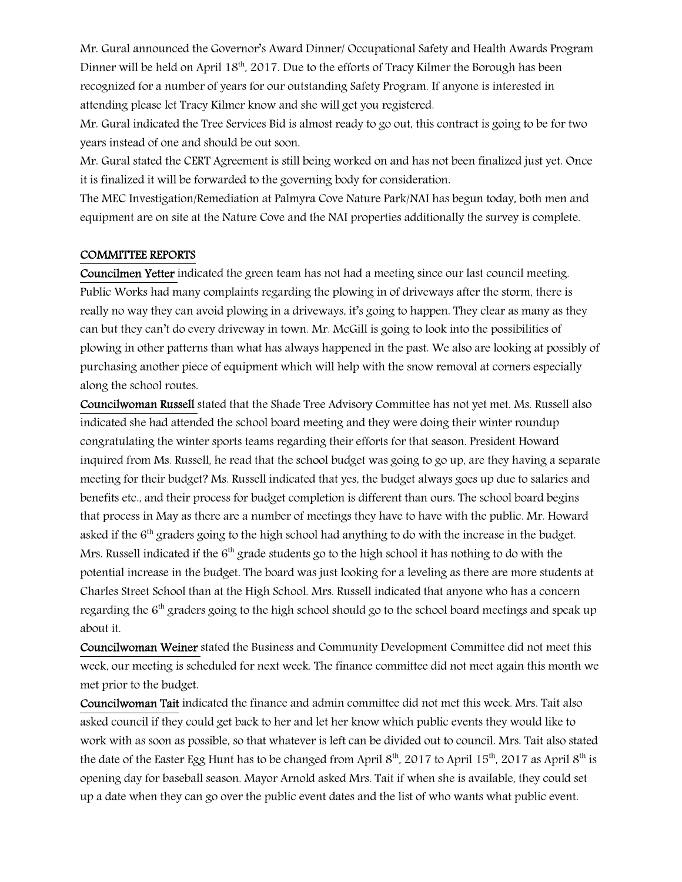Mr. Gural announced the Governor's Award Dinner/ Occupational Safety and Health Awards Program Dinner will be held on April 18<sup>th</sup>, 2017. Due to the efforts of Tracy Kilmer the Borough has been recognized for a number of years for our outstanding Safety Program. If anyone is interested in attending please let Tracy Kilmer know and she will get you registered.

Mr. Gural indicated the Tree Services Bid is almost ready to go out, this contract is going to be for two years instead of one and should be out soon.

Mr. Gural stated the CERT Agreement is still being worked on and has not been finalized just yet. Once it is finalized it will be forwarded to the governing body for consideration.

The MEC Investigation/Remediation at Palmyra Cove Nature Park/NAI has begun today, both men and equipment are on site at the Nature Cove and the NAI properties additionally the survey is complete.

#### COMMITTEE REPORTS

Councilmen Yetter indicated the green team has not had a meeting since our last council meeting. Public Works had many complaints regarding the plowing in of driveways after the storm, there is really no way they can avoid plowing in a driveways, it's going to happen. They clear as many as they can but they can't do every driveway in town. Mr. McGill is going to look into the possibilities of plowing in other patterns than what has always happened in the past. We also are looking at possibly of purchasing another piece of equipment which will help with the snow removal at corners especially along the school routes.

Councilwoman Russell stated that the Shade Tree Advisory Committee has not yet met. Ms. Russell also indicated she had attended the school board meeting and they were doing their winter roundup congratulating the winter sports teams regarding their efforts for that season. President Howard inquired from Ms. Russell, he read that the school budget was going to go up, are they having a separate meeting for their budget? Ms. Russell indicated that yes, the budget always goes up due to salaries and benefits etc., and their process for budget completion is different than ours. The school board begins that process in May as there are a number of meetings they have to have with the public. Mr. Howard asked if the 6<sup>th</sup> graders going to the high school had anything to do with the increase in the budget. Mrs. Russell indicated if the  $6<sup>th</sup>$  grade students go to the high school it has nothing to do with the potential increase in the budget. The board was just looking for a leveling as there are more students at Charles Street School than at the High School. Mrs. Russell indicated that anyone who has a concern regarding the 6<sup>th</sup> graders going to the high school should go to the school board meetings and speak up about it.

Councilwoman Weiner stated the Business and Community Development Committee did not meet this week, our meeting is scheduled for next week. The finance committee did not meet again this month we met prior to the budget.

Councilwoman Tait indicated the finance and admin committee did not met this week. Mrs. Tait also asked council if they could get back to her and let her know which public events they would like to work with as soon as possible, so that whatever is left can be divided out to council. Mrs. Tait also stated the date of the Easter Egg Hunt has to be changed from April  $8<sup>th</sup>$ , 2017 to April 15<sup>th</sup>, 2017 as April  $8<sup>th</sup>$  is opening day for baseball season. Mayor Arnold asked Mrs. Tait if when she is available, they could set up a date when they can go over the public event dates and the list of who wants what public event.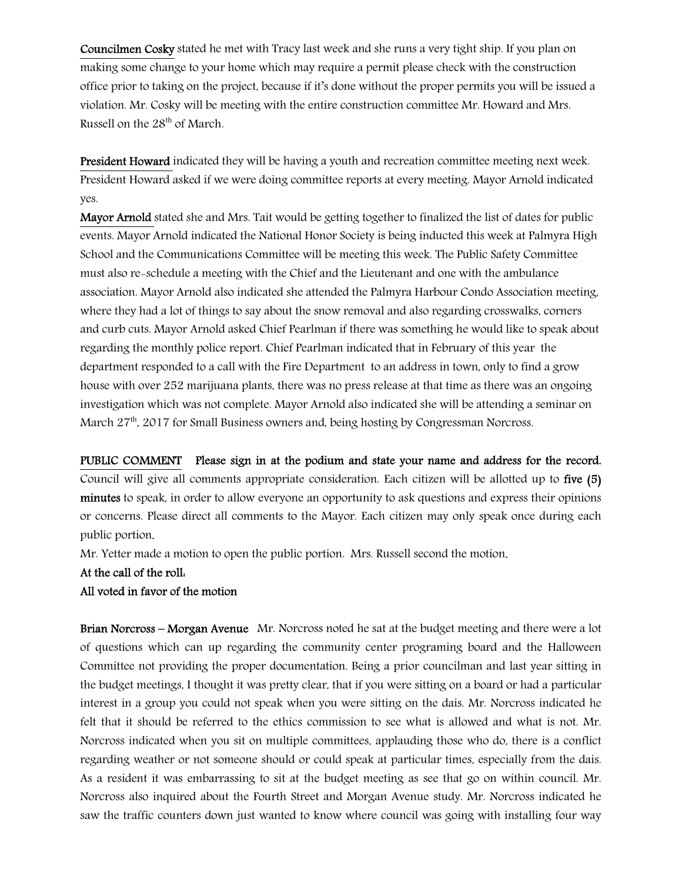Councilmen Cosky stated he met with Tracy last week and she runs a very tight ship. If you plan on making some change to your home which may require a permit please check with the construction office prior to taking on the project, because if it's done without the proper permits you will be issued a violation. Mr. Cosky will be meeting with the entire construction committee Mr. Howard and Mrs. Russell on the 28<sup>th</sup> of March.

President Howard indicated they will be having a youth and recreation committee meeting next week. President Howard asked if we were doing committee reports at every meeting. Mayor Arnold indicated yes.

Mayor Arnold stated she and Mrs. Tait would be getting together to finalized the list of dates for public events. Mayor Arnold indicated the National Honor Society is being inducted this week at Palmyra High School and the Communications Committee will be meeting this week. The Public Safety Committee must also re-schedule a meeting with the Chief and the Lieutenant and one with the ambulance association. Mayor Arnold also indicated she attended the Palmyra Harbour Condo Association meeting, where they had a lot of things to say about the snow removal and also regarding crosswalks, corners and curb cuts. Mayor Arnold asked Chief Pearlman if there was something he would like to speak about regarding the monthly police report. Chief Pearlman indicated that in February of this year the department responded to a call with the Fire Department to an address in town, only to find a grow house with over 252 marijuana plants, there was no press release at that time as there was an ongoing investigation which was not complete. Mayor Arnold also indicated she will be attending a seminar on March 27<sup>th</sup>, 2017 for Small Business owners and, being hosting by Congressman Norcross.

PUBLIC COMMENT Please sign in at the podium and state your name and address for the record.

Council will give all comments appropriate consideration. Each citizen will be allotted up to five (5) minutes to speak, in order to allow everyone an opportunity to ask questions and express their opinions or concerns. Please direct all comments to the Mayor. Each citizen may only speak once during each public portion.

Mr. Yetter made a motion to open the public portion. Mrs. Russell second the motion.

#### At the call of the roll:

#### All voted in favor of the motion

Brian Norcross – Morgan Avenue Mr. Norcross noted he sat at the budget meeting and there were a lot of questions which can up regarding the community center programing board and the Halloween Committee not providing the proper documentation. Being a prior councilman and last year sitting in the budget meetings, I thought it was pretty clear, that if you were sitting on a board or had a particular interest in a group you could not speak when you were sitting on the dais. Mr. Norcross indicated he felt that it should be referred to the ethics commission to see what is allowed and what is not. Mr. Norcross indicated when you sit on multiple committees, applauding those who do, there is a conflict regarding weather or not someone should or could speak at particular times, especially from the dais. As a resident it was embarrassing to sit at the budget meeting as see that go on within council. Mr. Norcross also inquired about the Fourth Street and Morgan Avenue study. Mr. Norcross indicated he saw the traffic counters down just wanted to know where council was going with installing four way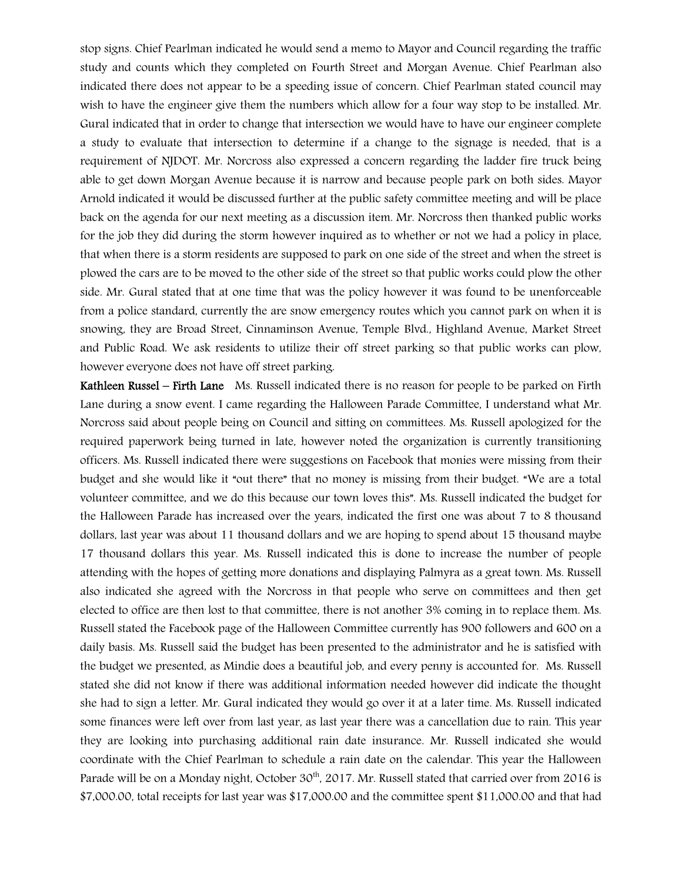stop signs. Chief Pearlman indicated he would send a memo to Mayor and Council regarding the traffic study and counts which they completed on Fourth Street and Morgan Avenue. Chief Pearlman also indicated there does not appear to be a speeding issue of concern. Chief Pearlman stated council may wish to have the engineer give them the numbers which allow for a four way stop to be installed. Mr. Gural indicated that in order to change that intersection we would have to have our engineer complete a study to evaluate that intersection to determine if a change to the signage is needed, that is a requirement of NJDOT. Mr. Norcross also expressed a concern regarding the ladder fire truck being able to get down Morgan Avenue because it is narrow and because people park on both sides. Mayor Arnold indicated it would be discussed further at the public safety committee meeting and will be place back on the agenda for our next meeting as a discussion item. Mr. Norcross then thanked public works for the job they did during the storm however inquired as to whether or not we had a policy in place, that when there is a storm residents are supposed to park on one side of the street and when the street is plowed the cars are to be moved to the other side of the street so that public works could plow the other side. Mr. Gural stated that at one time that was the policy however it was found to be unenforceable from a police standard, currently the are snow emergency routes which you cannot park on when it is snowing, they are Broad Street, Cinnaminson Avenue, Temple Blvd., Highland Avenue, Market Street and Public Road. We ask residents to utilize their off street parking so that public works can plow, however everyone does not have off street parking.

Kathleen Russel – Firth Lane Ms. Russell indicated there is no reason for people to be parked on Firth Lane during a snow event. I came regarding the Halloween Parade Committee, I understand what Mr. Norcross said about people being on Council and sitting on committees. Ms. Russell apologized for the required paperwork being turned in late, however noted the organization is currently transitioning officers. Ms. Russell indicated there were suggestions on Facebook that monies were missing from their budget and she would like it "out there" that no money is missing from their budget. "We are a total volunteer committee, and we do this because our town loves this". Ms. Russell indicated the budget for the Halloween Parade has increased over the years, indicated the first one was about 7 to 8 thousand dollars, last year was about 11 thousand dollars and we are hoping to spend about 15 thousand maybe 17 thousand dollars this year. Ms. Russell indicated this is done to increase the number of people attending with the hopes of getting more donations and displaying Palmyra as a great town. Ms. Russell also indicated she agreed with the Norcross in that people who serve on committees and then get elected to office are then lost to that committee, there is not another 3% coming in to replace them. Ms. Russell stated the Facebook page of the Halloween Committee currently has 900 followers and 600 on a daily basis. Ms. Russell said the budget has been presented to the administrator and he is satisfied with the budget we presented, as Mindie does a beautiful job, and every penny is accounted for. Ms. Russell stated she did not know if there was additional information needed however did indicate the thought she had to sign a letter. Mr. Gural indicated they would go over it at a later time. Ms. Russell indicated some finances were left over from last year, as last year there was a cancellation due to rain. This year they are looking into purchasing additional rain date insurance. Mr. Russell indicated she would coordinate with the Chief Pearlman to schedule a rain date on the calendar. This year the Halloween Parade will be on a Monday night, October 30<sup>th</sup>, 2017. Mr. Russell stated that carried over from 2016 is \$7,000.00, total receipts for last year was \$17,000.00 and the committee spent \$11,000.00 and that had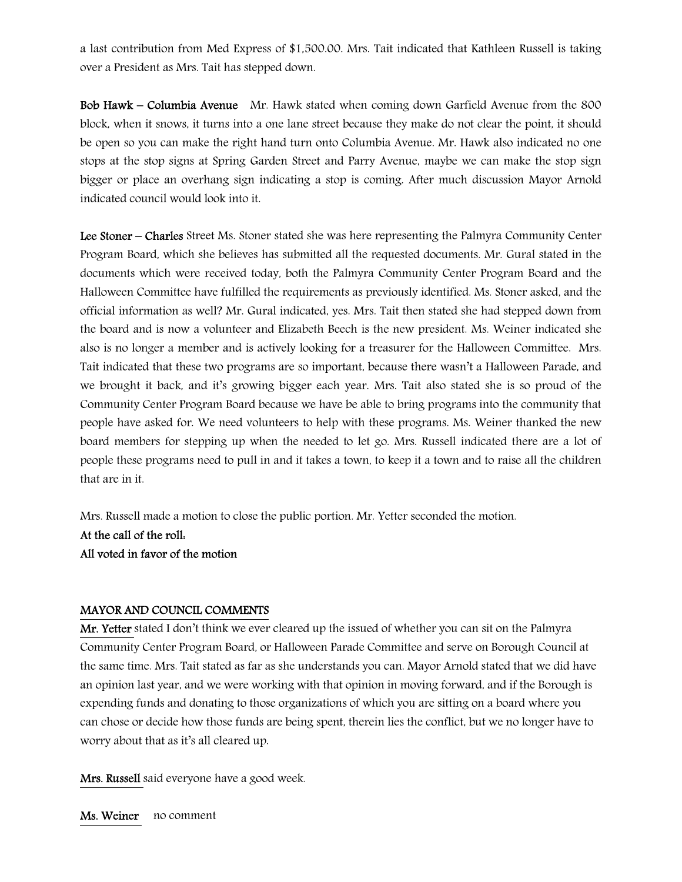a last contribution from Med Express of \$1,500.00. Mrs. Tait indicated that Kathleen Russell is taking over a President as Mrs. Tait has stepped down.

Bob Hawk – Columbia Avenue Mr. Hawk stated when coming down Garfield Avenue from the 800 block, when it snows, it turns into a one lane street because they make do not clear the point, it should be open so you can make the right hand turn onto Columbia Avenue. Mr. Hawk also indicated no one stops at the stop signs at Spring Garden Street and Parry Avenue, maybe we can make the stop sign bigger or place an overhang sign indicating a stop is coming. After much discussion Mayor Arnold indicated council would look into it.

Lee Stoner – Charles Street Ms. Stoner stated she was here representing the Palmyra Community Center Program Board, which she believes has submitted all the requested documents. Mr. Gural stated in the documents which were received today, both the Palmyra Community Center Program Board and the Halloween Committee have fulfilled the requirements as previously identified. Ms. Stoner asked, and the official information as well? Mr. Gural indicated, yes. Mrs. Tait then stated she had stepped down from the board and is now a volunteer and Elizabeth Beech is the new president. Ms. Weiner indicated she also is no longer a member and is actively looking for a treasurer for the Halloween Committee. Mrs. Tait indicated that these two programs are so important, because there wasn't a Halloween Parade, and we brought it back, and it's growing bigger each year. Mrs. Tait also stated she is so proud of the Community Center Program Board because we have be able to bring programs into the community that people have asked for. We need volunteers to help with these programs. Ms. Weiner thanked the new board members for stepping up when the needed to let go. Mrs. Russell indicated there are a lot of people these programs need to pull in and it takes a town, to keep it a town and to raise all the children that are in it.

Mrs. Russell made a motion to close the public portion. Mr. Yetter seconded the motion. At the call of the roll: All voted in favor of the motion

#### MAYOR AND COUNCIL COMMENTS

Mr. Yetter stated I don't think we ever cleared up the issued of whether you can sit on the Palmyra Community Center Program Board, or Halloween Parade Committee and serve on Borough Council at the same time. Mrs. Tait stated as far as she understands you can. Mayor Arnold stated that we did have an opinion last year, and we were working with that opinion in moving forward, and if the Borough is expending funds and donating to those organizations of which you are sitting on a board where you can chose or decide how those funds are being spent, therein lies the conflict, but we no longer have to worry about that as it's all cleared up.

Mrs. Russell said everyone have a good week.

Ms. Weiner no comment